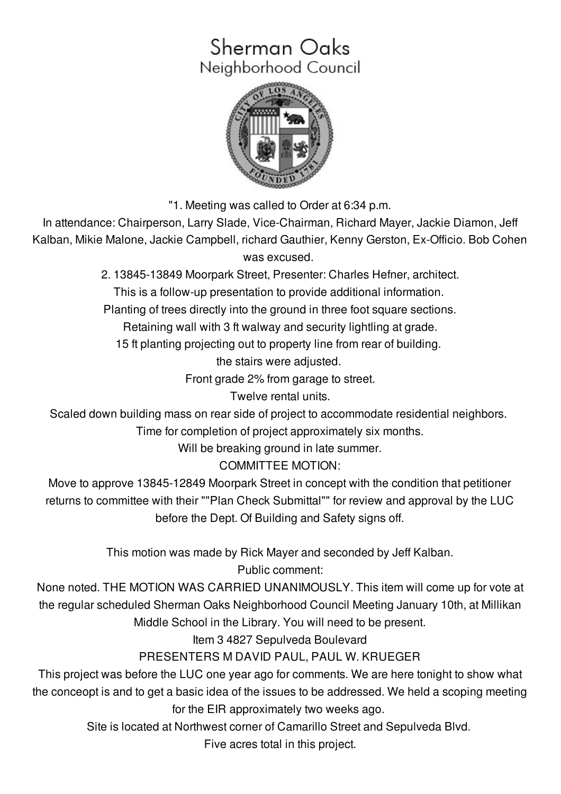# Sherman Oaks Neighborhood Council



"1. Meeting was called to Order at 6:34 p.m.

In attendance: Chairperson, Larry Slade, Vice-Chairman, Richard Mayer, Jackie Diamon, Jeff Kalban, Mikie Malone, Jackie Campbell, richard Gauthier, Kenny Gerston, Ex-Officio. Bob Cohen was excused.

2. 13845-13849 Moorpark Street, Presenter: Charles Hefner, architect.

This is a follow-up presentation to provide additional information.

Planting of trees directly into the ground in three foot square sections.

Retaining wall with 3 ft walway and security lightling at grade.

15 ft planting projecting out to property line from rear of building.

the stairs were adjusted.

Front grade 2% from garage to street.

Twelve rental units.

Scaled down building mass on rear side of project to accommodate residential neighbors.

Time for completion of project approximately six months.

Will be breaking ground in late summer.

COMMITTEE MOTION:

Move to approve 13845-12849 Moorpark Street in concept with the condition that petitioner returns to committee with their ""Plan Check Submittal"" for review and approval by the LUC before the Dept. Of Building and Safety signs off.

> This motion was made by Rick Mayer and seconded by Jeff Kalban. Public comment:

None noted. THE MOTION WAS CARRIED UNANIMOUSLY. This item will come up for vote at the regular scheduled Sherman Oaks Neighborhood Council Meeting January 10th, at Millikan Middle School in the Library. You will need to be present.

Item 3 4827 Sepulveda Boulevard

PRESENTERS M DAVID PAUL, PAUL W. KRUEGER

This project was before the LUC one year ago for comments. We are here tonight to show what the conceopt is and to get a basic idea of the issues to be addressed. We held a scoping meeting for the EIR approximately two weeks ago.

Site is located at Northwest corner of Camarillo Street and Sepulveda Blvd.

Five acres total in this project.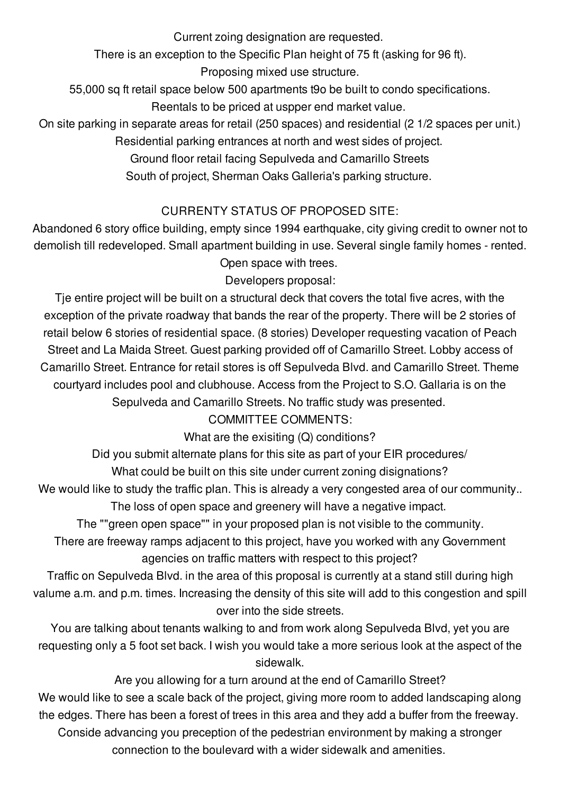Current zoing designation are requested.

There is an exception to the Specific Plan height of 75 ft (asking for 96 ft).

Proposing mixed use structure.

55,000 sq ft retail space below 500 apartments t9o be built to condo specifications.

Reentals to be priced at uspper end market value.

On site parking in separate areas for retail (250 spaces) and residential (2 1/2 spaces per unit.) Residential parking entrances at north and west sides of project.

Ground floor retail facing Sepulveda and Camarillo Streets

South of project, Sherman Oaks Galleria's parking structure.

## CURRENTY STATUS OF PROPOSED SITE:

Abandoned 6 story office building, empty since 1994 earthquake, city giving credit to owner not to demolish till redeveloped. Small apartment building in use. Several single family homes - rented. Open space with trees.

Developers proposal:

Tje entire project will be built on a structural deck that covers the total five acres, with the exception of the private roadway that bands the rear of the property. There will be 2 stories of retail below 6 stories of residential space. (8 stories) Developer requesting vacation of Peach Street and La Maida Street. Guest parking provided off of Camarillo Street. Lobby access of Camarillo Street. Entrance for retail stores is off Sepulveda Blvd. and Camarillo Street. Theme courtyard includes pool and clubhouse. Access from the Project to S.O. Gallaria is on the Sepulveda and Camarillo Streets. No traffic study was presented.

COMMITTEE COMMENTS:

What are the exisiting (Q) conditions?

Did you submit alternate plans for this site as part of your EIR procedures/

What could be built on this site under current zoning disignations?

We would like to study the traffic plan. This is already a very congested area of our community.. The loss of open space and greenery will have a negative impact.

The ""green open space"" in your proposed plan is not visible to the community.

There are freeway ramps adjacent to this project, have you worked with any Government agencies on traffic matters with respect to this project?

Traffic on Sepulveda Blvd. in the area of this proposal is currently at a stand still during high valume a.m. and p.m. times. Increasing the density of this site will add to this congestion and spill over into the side streets.

You are talking about tenants walking to and from work along Sepulveda Blvd, yet you are requesting only a 5 foot set back. I wish you would take a more serious look at the aspect of the sidewalk.

Are you allowing for a turn around at the end of Camarillo Street? We would like to see a scale back of the project, giving more room to added landscaping along the edges. There has been a forest of trees in this area and they add a buffer from the freeway. Conside advancing you preception of the pedestrian environment by making a stronger connection to the boulevard with a wider sidewalk and amenities.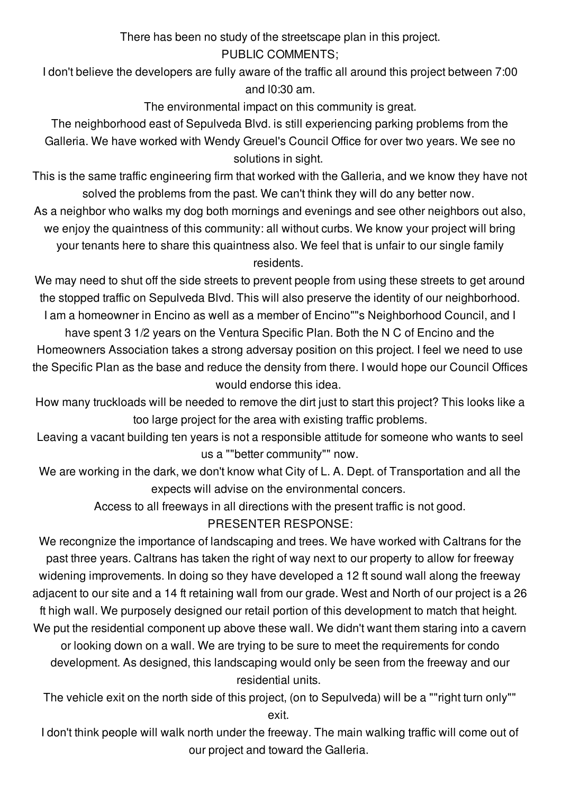There has been no study of the streetscape plan in this project. PUBLIC COMMENTS;

I don't believe the developers are fully aware of the traffic all around this project between 7:00 and l0:30 am.

The environmental impact on this community is great.

The neighborhood east of Sepulveda Blvd. is still experiencing parking problems from the Galleria. We have worked with Wendy Greuel's Council Office for over two years. We see no solutions in sight.

This is the same traffic engineering firm that worked with the Galleria, and we know they have not solved the problems from the past. We can't think they will do any better now.

As a neighbor who walks my dog both mornings and evenings and see other neighbors out also, we enjoy the quaintness of this community: all without curbs. We know your project will bring your tenants here to share this quaintness also. We feel that is unfair to our single family residents.

We may need to shut off the side streets to prevent people from using these streets to get around the stopped traffic on Sepulveda Blvd. This will also preserve the identity of our neighborhood. I am a homeowner in Encino as well as a member of Encino""s Neighborhood Council, and I have spent 3 1/2 years on the Ventura Specific Plan. Both the N C of Encino and the

Homeowners Association takes a strong adversay position on this project. I feel we need to use the Specific Plan as the base and reduce the density from there. I would hope our Council Offices would endorse this idea.

How many truckloads will be needed to remove the dirt just to start this project? This looks like a too large project for the area with existing traffic problems.

Leaving a vacant building ten years is not a responsible attitude for someone who wants to seel us a ""better community"" now.

We are working in the dark, we don't know what City of L. A. Dept. of Transportation and all the expects will advise on the environmental concers.

Access to all freeways in all directions with the present traffic is not good.

#### PRESENTER RESPONSE:

We recongnize the importance of landscaping and trees. We have worked with Caltrans for the past three years. Caltrans has taken the right of way next to our property to allow for freeway widening improvements. In doing so they have developed a 12 ft sound wall along the freeway adjacent to our site and a 14 ft retaining wall from our grade. West and North of our project is a 26 ft high wall. We purposely designed our retail portion of this development to match that height. We put the residential component up above these wall. We didn't want them staring into a cavern or looking down on a wall. We are trying to be sure to meet the requirements for condo development. As designed, this landscaping would only be seen from the freeway and our residential units.

The vehicle exit on the north side of this project, (on to Sepulveda) will be a ""right turn only"" exit.

I don't think people will walk north under the freeway. The main walking traffic will come out of our project and toward the Galleria.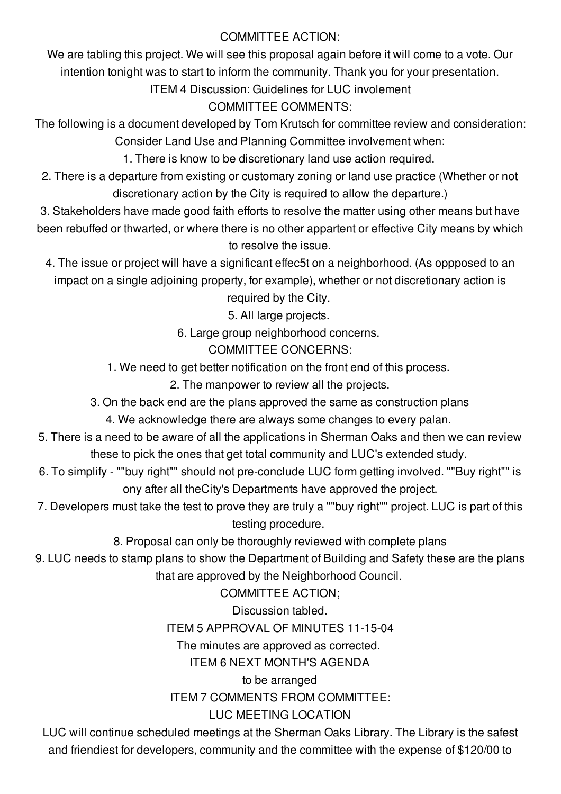#### COMMITTEE ACTION:

We are tabling this project. We will see this proposal again before it will come to a vote. Our intention tonight was to start to inform the community. Thank you for your presentation.

ITEM 4 Discussion: Guidelines for LUC involement

### COMMITTEE COMMENTS:

The following is a document developed by Tom Krutsch for committee review and consideration: Consider Land Use and Planning Committee involvement when:

1. There is know to be discretionary land use action required.

2. There is a departure from existing or customary zoning or land use practice (Whether or not discretionary action by the City is required to allow the departure.)

3. Stakeholders have made good faith efforts to resolve the matter using other means but have been rebuffed or thwarted, or where there is no other appartent or effective City means by which to resolve the issue.

4. The issue or project will have a significant effec5t on a neighborhood. (As oppposed to an impact on a single adjoining property, for example), whether or not discretionary action is

required by the City.

5. All large projects.

6. Large group neighborhood concerns.

COMMITTEE CONCERNS:

1. We need to get better notification on the front end of this process.

2. The manpower to review all the projects.

3. On the back end are the plans approved the same as construction plans

4. We acknowledge there are always some changes to every palan.

- 5. There is a need to be aware of all the applications in Sherman Oaks and then we can review these to pick the ones that get total community and LUC's extended study.
- 6. To simplify ""buy right"" should not pre-conclude LUC form getting involved. ""Buy right"" is ony after all theCity's Departments have approved the project.
- 7. Developers must take the test to prove they are truly a ""buy right"" project. LUC is part of this testing procedure.

8. Proposal can only be thoroughly reviewed with complete plans

9. LUC needs to stamp plans to show the Department of Building and Safety these are the plans that are approved by the Neighborhood Council.

COMMITTEE ACTION;

Discussion tabled.

ITEM 5 APPROVAL OF MINUTES 11-15-04

The minutes are approved as corrected.

ITEM 6 NEXT MONTH'S AGENDA

to be arranged ITEM 7 COMMENTS FROM COMMITTEE: LUC MEETING LOCATION

LUC will continue scheduled meetings at the Sherman Oaks Library. The Library is the safest and friendiest for developers, community and the committee with the expense of \$120/00 to